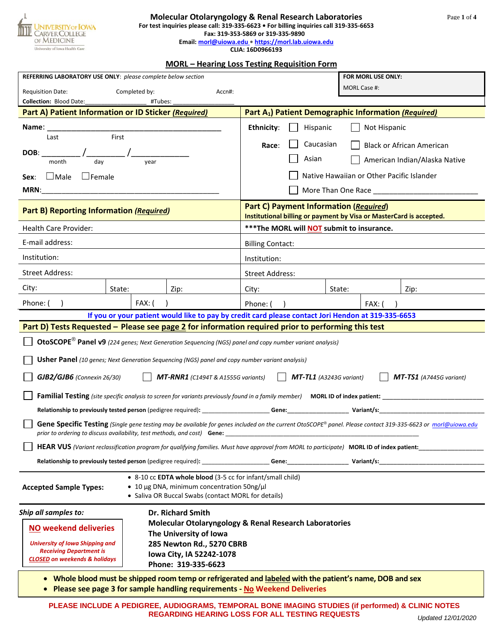

#### **Molecular Otolaryngology & Renal Research Laboratories For test inquiries please call: 319-335-6623 • For billing inquiries call 319-335-6653**

# **Fax: 319-353-5869 or 319-335-9890**

**Email: [morl@uiowa.edu •](mailto:morl@uiowa.edu) [https://morl.lab.uiowa.edu](https://morl.lab.uiowa.edu/)**

**CLIA: 16D0966193**

#### **MORL – Hearing Loss Testing Requisition Form**

| REFERRING LABORATORY USE ONLY: please complete below section                                                                                                                                                                             |         | FOR MORL USE ONLY:                                                                                 |                                                                                                                      |  |        |                                                                                                                                       |
|------------------------------------------------------------------------------------------------------------------------------------------------------------------------------------------------------------------------------------------|---------|----------------------------------------------------------------------------------------------------|----------------------------------------------------------------------------------------------------------------------|--|--------|---------------------------------------------------------------------------------------------------------------------------------------|
| <b>Requisition Date:</b>                                                                                                                                                                                                                 |         |                                                                                                    | MORL Case #:                                                                                                         |  |        |                                                                                                                                       |
| <b>Collection: Blood Date:</b>                                                                                                                                                                                                           | #Tubes: |                                                                                                    |                                                                                                                      |  |        |                                                                                                                                       |
| Part A) Patient Information or ID Sticker (Required)                                                                                                                                                                                     |         |                                                                                                    | Part A <sub>1</sub> ) Patient Demographic Information (Required)                                                     |  |        |                                                                                                                                       |
| Name:<br>First<br>Last                                                                                                                                                                                                                   |         |                                                                                                    | <b>Ethnicity:</b><br>Hispanic<br>Not Hispanic                                                                        |  |        |                                                                                                                                       |
|                                                                                                                                                                                                                                          |         |                                                                                                    | Caucasian<br>Race:<br><b>Black or African American</b>                                                               |  |        |                                                                                                                                       |
| DOB:<br>month<br>vear                                                                                                                                                                                                                    |         |                                                                                                    | Asian<br>American Indian/Alaska Native                                                                               |  |        |                                                                                                                                       |
| Male<br>$\Box$ Female<br>Sex:                                                                                                                                                                                                            |         |                                                                                                    | Native Hawaiian or Other Pacific Islander                                                                            |  |        |                                                                                                                                       |
|                                                                                                                                                                                                                                          |         |                                                                                                    |                                                                                                                      |  |        |                                                                                                                                       |
| Part B) Reporting Information (Required)                                                                                                                                                                                                 |         |                                                                                                    | <b>Part C) Payment Information (Required)</b><br>Institutional billing or payment by Visa or MasterCard is accepted. |  |        |                                                                                                                                       |
| Health Care Provider:                                                                                                                                                                                                                    |         |                                                                                                    | *** The MORL will NOT submit to insurance.                                                                           |  |        |                                                                                                                                       |
| E-mail address:                                                                                                                                                                                                                          |         |                                                                                                    | <b>Billing Contact:</b>                                                                                              |  |        |                                                                                                                                       |
| Institution:                                                                                                                                                                                                                             |         |                                                                                                    | Institution:                                                                                                         |  |        |                                                                                                                                       |
| <b>Street Address:</b>                                                                                                                                                                                                                   |         |                                                                                                    | <b>Street Address:</b>                                                                                               |  |        |                                                                                                                                       |
| City:                                                                                                                                                                                                                                    | State:  | Zip:                                                                                               | City:                                                                                                                |  | State: | Zip:                                                                                                                                  |
| Phone: (                                                                                                                                                                                                                                 | FAX: (  |                                                                                                    | Phone:                                                                                                               |  | FAX: ( |                                                                                                                                       |
|                                                                                                                                                                                                                                          |         | If you or your patient would like to pay by credit card please contact Jori Hendon at 319-335-6653 |                                                                                                                      |  |        |                                                                                                                                       |
| Part D) Tests Requested - Please see page 2 for information required prior to performing this test                                                                                                                                       |         |                                                                                                    |                                                                                                                      |  |        |                                                                                                                                       |
| OtoSCOPE <sup>®</sup> Panel v9 (224 genes; Next Generation Sequencing (NGS) panel and copy number variant analysis)                                                                                                                      |         |                                                                                                    |                                                                                                                      |  |        |                                                                                                                                       |
| <b>Usher Panel</b> (10 genes; Next Generation Sequencing (NGS) panel and copy number variant analysis)                                                                                                                                   |         |                                                                                                    |                                                                                                                      |  |        |                                                                                                                                       |
| $MT$ -TL1 (A3243G variant)<br>GJB2/GJB6 (Connexin 26/30)<br>MT-RNR1 (C1494T & A1555G variants)<br>$MT-TS1$ (A7445G variant)                                                                                                              |         |                                                                                                    |                                                                                                                      |  |        |                                                                                                                                       |
|                                                                                                                                                                                                                                          |         |                                                                                                    |                                                                                                                      |  |        | <b>Familial Testing</b> (site specific analysis to screen for variants previously found in a family member) MORL ID of index patient: |
|                                                                                                                                                                                                                                          |         |                                                                                                    |                                                                                                                      |  |        |                                                                                                                                       |
| Gene Specific Testing (Single gene testing may be available for genes included on the current OtoSCOPE® panel. Please contact 319-335-6623 or morl@uiowa.edu<br>prior to ordering to discuss availability, test methods, and cost) Gene: |         |                                                                                                    |                                                                                                                      |  |        |                                                                                                                                       |
| HEAR VUS (Variant reclassification program for qualifying families. Must have approval from MORL to participate) MORL ID of index patient:                                                                                               |         |                                                                                                    |                                                                                                                      |  |        |                                                                                                                                       |
|                                                                                                                                                                                                                                          |         |                                                                                                    |                                                                                                                      |  |        |                                                                                                                                       |
| • 8-10 cc EDTA whole blood (3-5 cc for infant/small child)<br>• 10 µg DNA, minimum concentration 50ng/µl<br><b>Accepted Sample Types:</b><br>• Saliva OR Buccal Swabs (contact MORL for details)                                         |         |                                                                                                    |                                                                                                                      |  |        |                                                                                                                                       |
| Ship all samples to:                                                                                                                                                                                                                     |         | <b>Dr. Richard Smith</b>                                                                           |                                                                                                                      |  |        |                                                                                                                                       |
| <b>NO weekend deliveries</b>                                                                                                                                                                                                             |         | <b>Molecular Otolaryngology &amp; Renal Research Laboratories</b>                                  |                                                                                                                      |  |        |                                                                                                                                       |
| The University of Iowa<br><b>University of Iowa Shipping and</b><br>285 Newton Rd., 5270 CBRB<br><b>Receiving Department is</b><br>Iowa City, IA 52242-1078<br><b>CLOSED on weekends &amp; holidays</b>                                  |         |                                                                                                    |                                                                                                                      |  |        |                                                                                                                                       |
|                                                                                                                                                                                                                                          |         |                                                                                                    |                                                                                                                      |  |        |                                                                                                                                       |
| Phone: 319-335-6623                                                                                                                                                                                                                      |         |                                                                                                    |                                                                                                                      |  |        |                                                                                                                                       |
| Whole blood must be shipped room temp or refrigerated and labeled with the patient's name, DOB and sex<br>Please see page 3 for sample handling requirements - No Weekend Deliveries                                                     |         |                                                                                                    |                                                                                                                      |  |        |                                                                                                                                       |
| PLEASE INCLUDE A PEDIGREE, AUDIOGRAMS, TEMPORAL BONE IMAGING STUDIES (if performed) & CLINIC NOTES<br><b>REGARDING HEARING LOSS FOR ALL TESTING REQUESTS</b><br>Updated 12/01/2020                                                       |         |                                                                                                    |                                                                                                                      |  |        |                                                                                                                                       |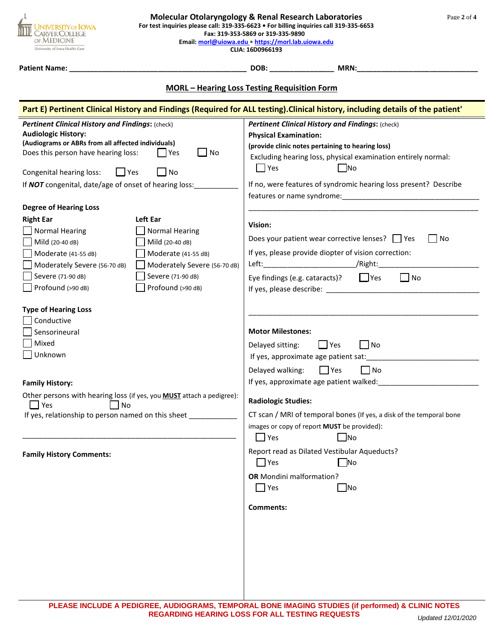| <b>Molecular Otolaryngology &amp; Renal Research Laboratories</b><br>Page 2 of 4<br>For test inquiries please call: 319-335-6623 · For billing inquiries call 319-335-6653<br><b>VERSITY OF IOWA</b><br>Fax: 319-353-5869 or 319-335-9890<br><b>?VER COLLEGE</b><br>OF MEDICINE<br>Email: morl@uiowa.edu • https://morl.lab.uiowa.edu<br>University of Iowa Health Care<br>CLIA: 16D0966193                                                                                                                                                                                                                                                                                                                                                                                                                                                                                                                                                                                         |                                                                                                                                                                                                                                                                                                                                                                                                                                                                                                                                                                                                                                                                                                                                                                                                                                                                                                                                                                                                                     |  |  |  |  |  |
|-------------------------------------------------------------------------------------------------------------------------------------------------------------------------------------------------------------------------------------------------------------------------------------------------------------------------------------------------------------------------------------------------------------------------------------------------------------------------------------------------------------------------------------------------------------------------------------------------------------------------------------------------------------------------------------------------------------------------------------------------------------------------------------------------------------------------------------------------------------------------------------------------------------------------------------------------------------------------------------|---------------------------------------------------------------------------------------------------------------------------------------------------------------------------------------------------------------------------------------------------------------------------------------------------------------------------------------------------------------------------------------------------------------------------------------------------------------------------------------------------------------------------------------------------------------------------------------------------------------------------------------------------------------------------------------------------------------------------------------------------------------------------------------------------------------------------------------------------------------------------------------------------------------------------------------------------------------------------------------------------------------------|--|--|--|--|--|
| Patient Name: _                                                                                                                                                                                                                                                                                                                                                                                                                                                                                                                                                                                                                                                                                                                                                                                                                                                                                                                                                                     | DOB: MRN:                                                                                                                                                                                                                                                                                                                                                                                                                                                                                                                                                                                                                                                                                                                                                                                                                                                                                                                                                                                                           |  |  |  |  |  |
| <b>MORL - Hearing Loss Testing Requisition Form</b>                                                                                                                                                                                                                                                                                                                                                                                                                                                                                                                                                                                                                                                                                                                                                                                                                                                                                                                                 |                                                                                                                                                                                                                                                                                                                                                                                                                                                                                                                                                                                                                                                                                                                                                                                                                                                                                                                                                                                                                     |  |  |  |  |  |
| Pertinent Clinical History and Findings: (check)<br><b>Audiologic History:</b><br>(Audiograms or ABRs from all affected individuals)<br>$\Box$ No<br>Does this person have hearing loss:<br>l IYes<br>$\Box$ Yes<br>N <sub>O</sub><br>Congenital hearing loss:<br>If <b>NOT</b> congenital, date/age of onset of hearing loss:<br><b>Degree of Hearing Loss</b><br>Left Ear<br><b>Right Ear</b><br><b>Normal Hearing</b><br><b>Normal Hearing</b><br>Mild (20-40 dB)<br>Mild (20-40 dB)<br>Moderate (41-55 dB)<br>Moderate (41-55 dB)<br>Moderately Severe (56-70 dB)<br>Moderately Severe (56-70 dB)<br>Severe (71-90 dB)<br>Severe (71-90 dB)<br>Profound (>90 dB)<br>Profound (>90 dB)<br><b>Type of Hearing Loss</b><br>Conductive<br>Sensorineural<br>Mixed<br>Unknown<br><b>Family History:</b><br>Other persons with hearing loss (if yes, you <b>MUST</b> attach a pedigree):<br>$\Box$ No<br>$\Box$ Yes<br>If yes, relationship to person named on this sheet ____________ | Part E) Pertinent Clinical History and Findings (Required for ALL testing). Clinical history, including details of the patient'<br>Pertinent Clinical History and Findings: (check)<br><b>Physical Examination:</b><br>(provide clinic notes pertaining to hearing loss)<br>Excluding hearing loss, physical examination entirely normal:<br>$\Box$ Yes<br>$\Box$ No<br>If no, were features of syndromic hearing loss present? Describe<br>Vision:<br>Does your patient wear corrective lenses?   Yes<br>l No<br>If yes, please provide diopter of vision correction:<br>Eye findings (e.g. cataracts)? $\Box$ Yes<br>$\Box$ No<br><b>Motor Milestones:</b><br>$\Box$ Yes<br>l INo<br>Delayed sitting:<br>If yes, approximate age patient sat:<br>Delayed walking: $\Box$ Yes $\Box$ No<br>If yes, approximate age patient walked:<br><b>Radiologic Studies:</b><br>CT scan / MRI of temporal bones (If yes, a disk of the temporal bone<br>images or copy of report MUST be provided):<br>$\Box$ Yes<br>$\Box$ No |  |  |  |  |  |
| <b>Family History Comments:</b>                                                                                                                                                                                                                                                                                                                                                                                                                                                                                                                                                                                                                                                                                                                                                                                                                                                                                                                                                     | Report read as Dilated Vestibular Aqueducts?<br>$\Box$ Yes<br>$\exists$ No<br><b>OR</b> Mondini malformation?<br>$\Box$ Yes<br>$\Box$ No<br>Comments:                                                                                                                                                                                                                                                                                                                                                                                                                                                                                                                                                                                                                                                                                                                                                                                                                                                               |  |  |  |  |  |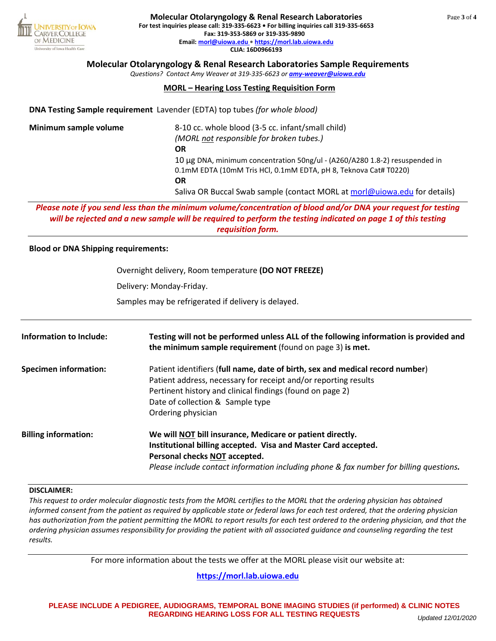

*Questions? Contact Amy Weaver at 319-335-6623 or [amy-weaver@uiowa.edu](mailto:amy-weaver@uiowa.edu)*

## **MORL – Hearing Loss Testing Requisition Form**

**DNA Testing Sample requirement** Lavender (EDTA) top tubes *(for whole blood)*

| 8-10 cc. whole blood (3-5 cc. infant/small child)                           |  |  |  |  |
|-----------------------------------------------------------------------------|--|--|--|--|
| (MORL not responsible for broken tubes.)                                    |  |  |  |  |
| OR                                                                          |  |  |  |  |
| 10 µg DNA, minimum concentration 50ng/ul - (A260/A280 1.8-2) resuspended in |  |  |  |  |
| 0.1mM EDTA (10mM Tris HCl, 0.1mM EDTA, pH 8, Teknova Cat# T0220)            |  |  |  |  |
| OR                                                                          |  |  |  |  |
| Saliva OR Buccal Swab sample (contact MORL at morl@uiowa.edu for details)   |  |  |  |  |
|                                                                             |  |  |  |  |

*Please note if you send less than the minimum volume/concentration of blood and/or DNA your request for testing will be rejected and a new sample will be required to perform the testing indicated on page 1 of this testing requisition form.*

## **Blood or DNA Shipping requirements:**

Overnight delivery, Room temperature **(DO NOT FREEZE)** Delivery: Monday-Friday. Samples may be refrigerated if delivery is delayed.

| <b>Information to Include:</b> | Testing will not be performed unless ALL of the following information is provided and<br>the minimum sample requirement (found on page 3) is met.                                                                                                                       |
|--------------------------------|-------------------------------------------------------------------------------------------------------------------------------------------------------------------------------------------------------------------------------------------------------------------------|
| <b>Specimen information:</b>   | Patient identifiers (full name, date of birth, sex and medical record number)<br>Patient address, necessary for receipt and/or reporting results<br>Pertinent history and clinical findings (found on page 2)<br>Date of collection & Sample type<br>Ordering physician |
| <b>Billing information:</b>    | We will NOT bill insurance, Medicare or patient directly.<br>Institutional billing accepted. Visa and Master Card accepted.<br>Personal checks NOT accepted.<br>Please include contact information including phone & fax number for billing questions.                  |

#### **DISCLAIMER:**

*This request to order molecular diagnostic tests from the MORL certifies to the MORL that the ordering physician has obtained informed consent from the patient as required by applicable state or federal laws for each test ordered, that the ordering physician has authorization from the patient permitting the MORL to report results for each test ordered to the ordering physician, and that the ordering physician assumes responsibility for providing the patient with all associated guidance and counseling regarding the test results.*

For more information about the tests we offer at the MORL please visit our website at:

### **[https://morl.lab.uiowa.edu](https://morl.lab.uiowa.edu/)**

3 **PLEASE INCLUDE A PEDIGREE, AUDIOGRAMS, TEMPORAL BONE IMAGING STUDIES (if performed) & CLINIC NOTES REGARDING HEARING LOSS FOR ALL TESTING REQUESTS** *Updated 12/01/2020*